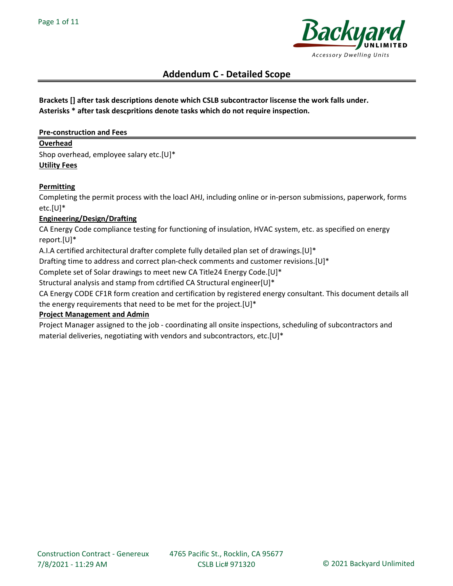

# Brackets [] after task descriptions denote which CSLB subcontractor liscense the work falls under. Asterisks \* after task descpritions denote tasks which do not require inspection.

## Pre-construction and Fees

#### Overhead

Shop overhead, employee salary etc.[U]\* Utility Fees

## **Permitting**

Completing the permit process with the loacl AHJ, including online or in-person submissions, paperwork, forms etc.[U]\*

# Engineering/Design/Drafting

CA Energy Code compliance testing for functioning of insulation, HVAC system, etc. as specified on energy report.[U]\*

A.I.A certified architectural drafter complete fully detailed plan set of drawings.[U]\*

Drafting time to address and correct plan-check comments and customer revisions.[U]\*

Complete set of Solar drawings to meet new CA Title24 Energy Code.[U]\*

Structural analysis and stamp from cdrtified CA Structural engineer[U]\*

CA Energy CODE CF1R form creation and certification by registered energy consultant. This document details all the energy requirements that need to be met for the project.[U]\*

#### Project Management and Admin

Project Manager assigned to the job - coordinating all onsite inspections, scheduling of subcontractors and material deliveries, negotiating with vendors and subcontractors, etc.[U]\*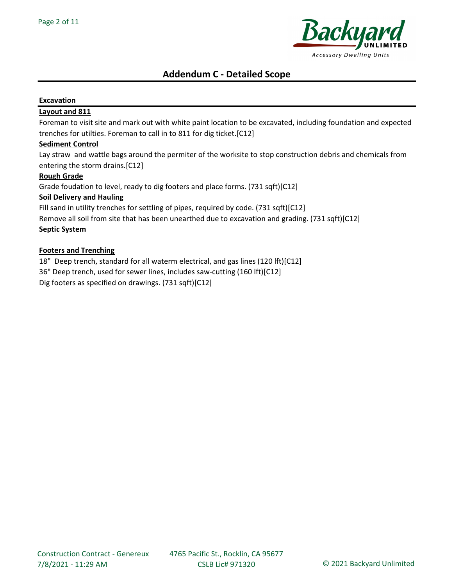

## Excavation

### Layout and 811

Foreman to visit site and mark out with white paint location to be excavated, including foundation and expected trenches for utilties. Foreman to call in to 811 for dig ticket.[C12]

#### Sediment Control

Lay straw and wattle bags around the permiter of the worksite to stop construction debris and chemicals from entering the storm drains.[C12]

#### Rough Grade

Grade foudation to level, ready to dig footers and place forms. (731 sqft)[C12]

## Soil Delivery and Hauling

Fill sand in utility trenches for settling of pipes, required by code. (731 sqft)[C12]

Remove all soil from site that has been unearthed due to excavation and grading. (731 sqft)[C12]

# Septic System

#### Footers and Trenching

18" Deep trench, standard for all waterm electrical, and gas lines (120 lft)[C12]

36" Deep trench, used for sewer lines, includes saw-cutting (160 lft)[C12]

Dig footers as specified on drawings. (731 sqft)[C12]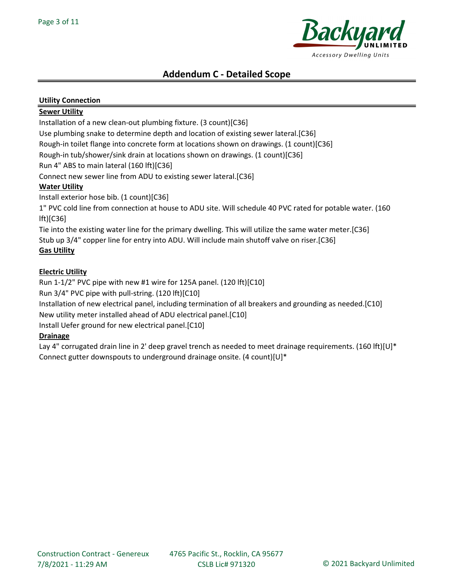

# Utility Connection

# Sewer Utility

Installation of a new clean-out plumbing fixture. (3 count)[C36]

Use plumbing snake to determine depth and location of existing sewer lateral.[C36]

Rough-in toilet flange into concrete form at locations shown on drawings. (1 count)[C36]

Rough-in tub/shower/sink drain at locations shown on drawings. (1 count)[C36]

Run 4" ABS to main lateral (160 lft)[C36]

Connect new sewer line from ADU to existing sewer lateral.[C36]

# **Water Utility**

Install exterior hose bib. (1 count)[C36]

1" PVC cold line from connection at house to ADU site. Will schedule 40 PVC rated for potable water. (160 lft)[C36]

Tie into the existing water line for the primary dwelling. This will utilize the same water meter.[C36] Stub up 3/4" copper line for entry into ADU. Will include main shutoff valve on riser.[C36]

# Gas Utility

# Electric Utility

Run 1-1/2" PVC pipe with new #1 wire for 125A panel. (120 lft)[C10]

Run 3/4" PVC pipe with pull-string. (120 lft)[C10]

Installation of new electrical panel, including termination of all breakers and grounding as needed.[C10]

New utility meter installed ahead of ADU electrical panel.[C10]

Install Uefer ground for new electrical panel.[C10]

# Drainage

Lay 4" corrugated drain line in 2' deep gravel trench as needed to meet drainage requirements. (160 lft)[U]\* Connect gutter downspouts to underground drainage onsite. (4 count)[U]\*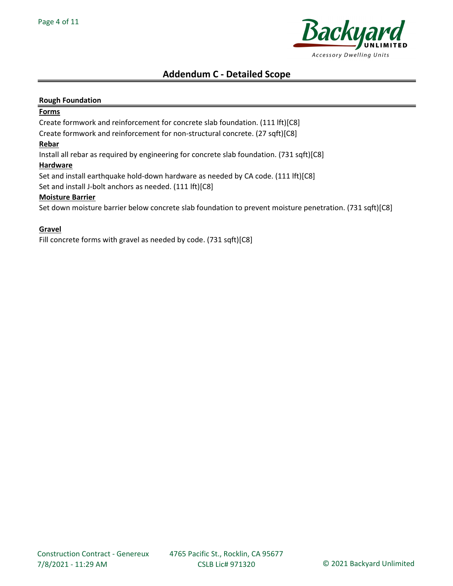

#### Rough Foundation

#### **Forms**

Create formwork and reinforcement for concrete slab foundation. (111 lft)[C8]

Create formwork and reinforcement for non-structural concrete. (27 sqft)[C8]

#### Rebar

Install all rebar as required by engineering for concrete slab foundation. (731 sqft)[C8]

#### Hardware

Set and install earthquake hold-down hardware as needed by CA code. (111 lft)[C8]

Set and install J-bolt anchors as needed. (111 lft)[C8]

#### Moisture Barrier

Set down moisture barrier below concrete slab foundation to prevent moisture penetration. (731 sqft)[C8]

#### Gravel

Fill concrete forms with gravel as needed by code. (731 sqft)[C8]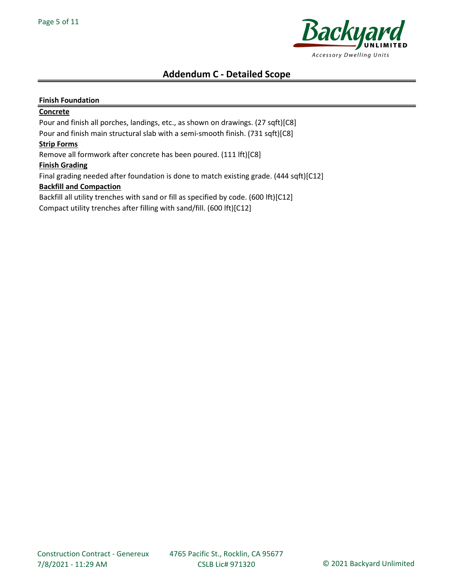

### Finish Foundation

#### **Concrete**

Pour and finish all porches, landings, etc., as shown on drawings. (27 sqft)[C8] Pour and finish main structural slab with a semi-smooth finish. (731 sqft)[C8]

#### Strip Forms

Remove all formwork after concrete has been poured. (111 lft)[C8]

#### Finish Grading

Final grading needed after foundation is done to match existing grade. (444 sqft)[C12]

### Backfill and Compaction

Backfill all utility trenches with sand or fill as specified by code. (600 lft)[C12]

Compact utility trenches after filling with sand/fill. (600 lft)[C12]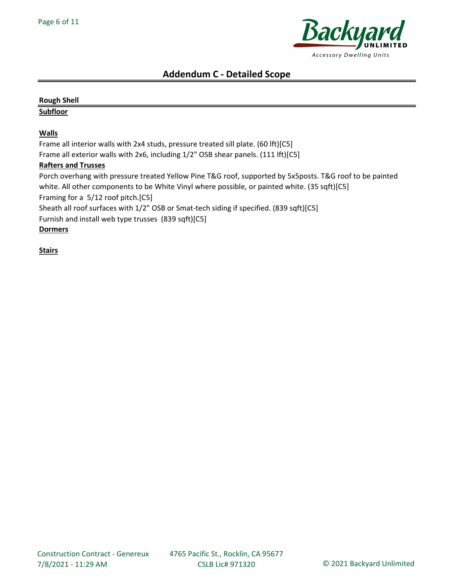

# Rough Shell Subfloor **Walls** Frame all interior walls with 2x4 studs, pressure treated sill plate. (60 lft)[C5] Frame all exterior walls with 2x6, including 1/2" OSB shear panels. (111 lft)[C5] Rafters and Trusses Porch overhang with pressure treated Yellow Pine T&G roof, supported by 5x5posts. T&G roof to be painted white. All other components to be White Vinyl where possible, or painted white. (35 sqft)[C5] Framing for a 5/12 roof pitch.[C5] Sheath all roof surfaces with 1/2" OSB or Smat-tech siding if specified. (839 sqft)[C5] Furnish and install web type trusses (839 sqft)[C5]

Dormers

**Stairs**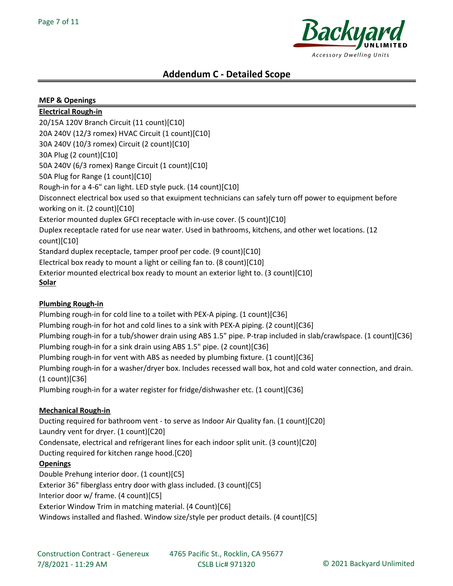

| <b>MEP &amp; Openings</b>                                                                                                                                                                                              |
|------------------------------------------------------------------------------------------------------------------------------------------------------------------------------------------------------------------------|
| <b>Electrical Rough-in</b>                                                                                                                                                                                             |
| 20/15A 120V Branch Circuit (11 count)[C10]                                                                                                                                                                             |
| 20A 240V (12/3 romex) HVAC Circuit (1 count)[C10]                                                                                                                                                                      |
| 30A 240V (10/3 romex) Circuit (2 count)[C10]                                                                                                                                                                           |
| 30A Plug (2 count)[C10]                                                                                                                                                                                                |
| 50A 240V (6/3 romex) Range Circuit (1 count)[C10]                                                                                                                                                                      |
| 50A Plug for Range (1 count)[C10]                                                                                                                                                                                      |
| Rough-in for a 4-6" can light. LED style puck. (14 count)[C10]                                                                                                                                                         |
| Disconnect electrical box used so that exuipment technicians can safely turn off power to equipment before<br>working on it. (2 count)[C10]                                                                            |
| Exterior mounted duplex GFCI receptacle with in-use cover. (5 count)[C10]                                                                                                                                              |
| Duplex receptacle rated for use near water. Used in bathrooms, kitchens, and other wet locations. (12<br>count)[C10]                                                                                                   |
| Standard duplex receptacle, tamper proof per code. (9 count)[C10]                                                                                                                                                      |
| Electrical box ready to mount a light or ceiling fan to. (8 count)[C10]                                                                                                                                                |
| Exterior mounted electrical box ready to mount an exterior light to. (3 count)[C10]<br><u>Solar</u>                                                                                                                    |
| <b>Plumbing Rough-in</b><br>Plumbing rough-in for cold line to a toilet with PEX-A piping. (1 count)[C36]                                                                                                              |
| Plumbing rough-in for hot and cold lines to a sink with PEX-A piping. (2 count)[C36]<br>Plumbing rough-in for a tub/shower drain using ABS 1.5" pipe. P-trap included in slab/crawlspace. (1 count)[C36]               |
| Plumbing rough-in for a sink drain using ABS 1.5" pipe. (2 count)[C36]                                                                                                                                                 |
| Plumbing rough-in for vent with ABS as needed by plumbing fixture. (1 count)[C36]<br>Plumbing rough-in for a washer/dryer box. Includes recessed wall box, hot and cold water connection, and drain.<br>(1 count)[C36] |
| Plumbing rough-in for a water register for fridge/dishwasher etc. (1 count)[C36]                                                                                                                                       |
| <b>Mechanical Rough-in</b>                                                                                                                                                                                             |
| Ducting required for bathroom vent - to serve as Indoor Air Quality fan. (1 count)[C20]<br>Laundry vent for dryer. (1 count)[C20]                                                                                      |
| Condensate, electrical and refrigerant lines for each indoor split unit. (3 count)[C20]                                                                                                                                |
| Ducting required for kitchen range hood.[C20]                                                                                                                                                                          |
| <b>Openings</b>                                                                                                                                                                                                        |
| Double Prehung interior door. (1 count)[C5]                                                                                                                                                                            |
| Exterior 36" fiberglass entry door with glass included. (3 count)[C5]                                                                                                                                                  |
| Interior door w/ frame. (4 count)[C5]                                                                                                                                                                                  |
| Exterior Window Trim in matching material. (4 Count)[C6]                                                                                                                                                               |
| Windows installed and flashed. Window size/style per product details. (4 count)[C5]                                                                                                                                    |
|                                                                                                                                                                                                                        |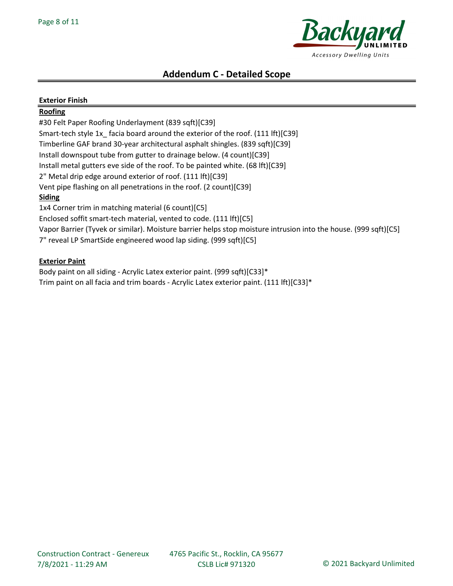

| <b>Exterior Finish</b>                                                                                          |
|-----------------------------------------------------------------------------------------------------------------|
| Roofing                                                                                                         |
| #30 Felt Paper Roofing Underlayment (839 sqft)[C39]                                                             |
| Smart-tech style 1x_facia board around the exterior of the roof. (111 lft)[C39]                                 |
| Timberline GAF brand 30-year architectural asphalt shingles. (839 sqft)[C39]                                    |
| Install downspout tube from gutter to drainage below. (4 count)[C39]                                            |
| Install metal gutters eve side of the roof. To be painted white. (68 lft)[C39]                                  |
| 2" Metal drip edge around exterior of roof. (111 lft)[C39]                                                      |
| Vent pipe flashing on all penetrations in the roof. (2 count)[C39]                                              |
| Siding                                                                                                          |
| 1x4 Corner trim in matching material (6 count)[C5]                                                              |
| Enclosed soffit smart-tech material, vented to code. (111 lft)[C5]                                              |
| Vapor Barrier (Tyvek or similar). Moisture barrier helps stop moisture intrusion into the house. (999 sqft)[C5] |
| 7" reveal LP SmartSide engineered wood lap siding. (999 sqft)[C5]                                               |

# Exterior Paint

Body paint on all siding - Acrylic Latex exterior paint. (999 sqft)[C33]\* Trim paint on all facia and trim boards - Acrylic Latex exterior paint. (111 lft)[C33]\*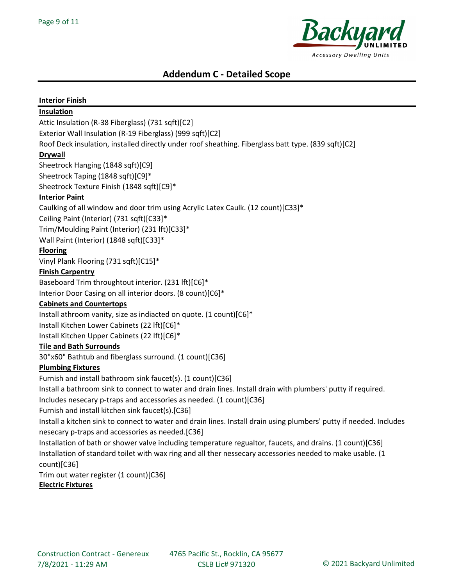

## Interior Finish

## Insulation

Attic Insulation (R-38 Fiberglass) (731 sqft)[C2]

Exterior Wall Insulation (R-19 Fiberglass) (999 sqft)[C2]

Roof Deck insulation, installed directly under roof sheathing. Fiberglass batt type. (839 sqft)[C2]

# Drywall

Sheetrock Hanging (1848 sqft)[C9] Sheetrock Taping (1848 sqft)[C9]\*

Sheetrock Texture Finish (1848 sqft)[C9]\*

# Interior Paint

Caulking of all window and door trim using Acrylic Latex Caulk. (12 count)[C33]\*

Ceiling Paint (Interior) (731 sqft)[C33]\*

Trim/Moulding Paint (Interior) (231 lft)[C33]\*

Wall Paint (Interior) (1848 sqft)[C33]\*

# Flooring

Vinyl Plank Flooring (731 sqft)[C15]\*

# **Finish Carpentry**

Baseboard Trim throughtout interior. (231 lft)[C6]\*

Interior Door Casing on all interior doors. (8 count)[C6]\*

# Cabinets and Countertops

Install athroom vanity, size as indiacted on quote. (1 count)[C6]\*

Install Kitchen Lower Cabinets (22 lft)[C6]\*

Install Kitchen Upper Cabinets (22 lft)[C6]\*

# Tile and Bath Surrounds

30"x60" Bathtub and fiberglass surround. (1 count)[C36]

# Plumbing Fixtures

Furnish and install bathroom sink faucet(s). (1 count)[C36]

Install a bathroom sink to connect to water and drain lines. Install drain with plumbers' putty if required.

Includes nesecary p-traps and accessories as needed. (1 count)[C36]

Furnish and install kitchen sink faucet(s).[C36]

Install a kitchen sink to connect to water and drain lines. Install drain using plumbers' putty if needed. Includes nesecary p-traps and accessories as needed.[C36]

Installation of bath or shower valve including temperature regualtor, faucets, and drains. (1 count)[C36] Installation of standard toilet with wax ring and all ther nessecary accessories needed to make usable. (1 count)[C36]

Trim out water register (1 count)[C36]

# Electric Fixtures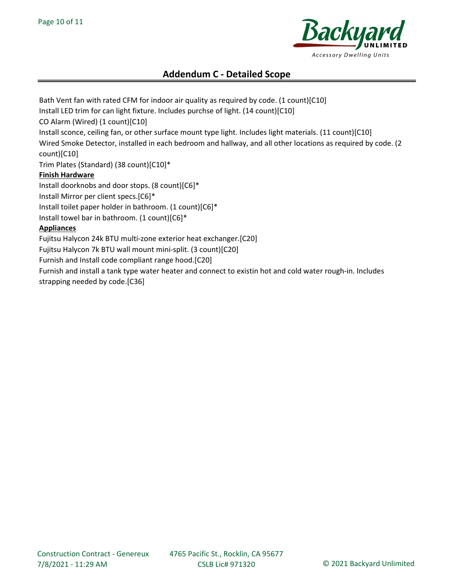

Bath Vent fan with rated CFM for indoor air quality as required by code. (1 count)[C10] Install LED trim for can light fixture. Includes purchse of light. (14 count)[C10] CO Alarm (Wired) (1 count)[C10] Install sconce, ceiling fan, or other surface mount type light. Includes light materials. (11 count)[C10] Wired Smoke Detector, installed in each bedroom and hallway, and all other locations as required by code. (2 count)[C10] Trim Plates (Standard) (38 count)[C10]\* Finish Hardware Install doorknobs and door stops. (8 count)[C6]\* Install Mirror per client specs.[C6]\* Install toilet paper holder in bathroom. (1 count)[C6]\* Install towel bar in bathroom. (1 count)[C6]\* **Appliances** Fujitsu Halycon 24k BTU multi-zone exterior heat exchanger.[C20] Fujitsu Halycon 7k BTU wall mount mini-split. (3 count)[C20] Furnish and Install code compliant range hood.[C20] Furnish and install a tank type water heater and connect to existin hot and cold water rough-in. Includes strapping needed by code.[C36]